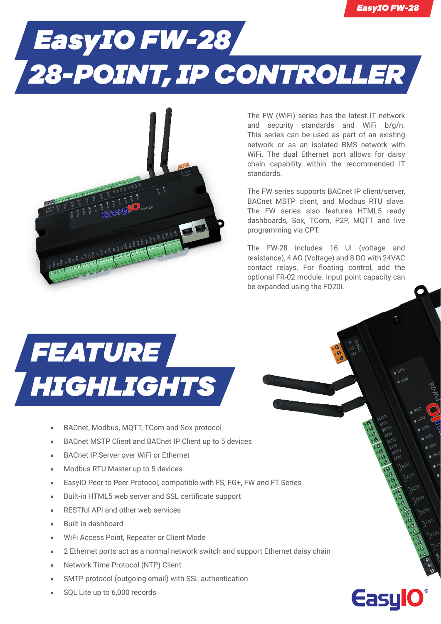**EasylC** 

## *EasyIO FW-28 28-POINT, IP CONTROLLER*



The FW (WiFi) series has the latest IT network and security standards and WiFi b/g/n. This series can be used as part of an existing network or as an isolated BMS network with WiFi. The dual Ethernet port allows for daisy chain capability within the recommended IT standards.

The FW series supports BACnet IP client/server, BACnet MSTP client, and Modbus RTU slave. The FW series also features HTML5 ready dashboards, Sox, TCom, P2P, MQTT and live programming via CPT.

The FW-28 includes 16 UI (voltage and resistance), 4 AO (Voltage) and 8 DO with 24VAC contact relays. For floating control, add the optional FR-02 module. Input point capacity can be expanded using the FD20i.



- **•** BACnet, Modbus, MQTT, TCom and Sox protocol
- **•** BACnet MSTP Client and BACnet IP Client up to 5 devices
- **•** BACnet IP Server over WiFi or Ethernet
- **•** Modbus RTU Master up to 5 devices
- **•** EasyIO Peer to Peer Protocol, compatible with FS, FG+, FW and FT Series
- **•** Built-in HTML5 web server and SSL certificate support
- **•** RESTful API and other web services
- **•** Built-in dashboard
- **•** WiFi Access Point, Repeater or Client Mode
- **•** 2 Ethernet ports act as a normal network switch and support Ethernet daisy chain
- **•** Network Time Protocol (NTP) Client
- **•** SMTP protocol (outgoing email) with SSL authentication
- **•** SQL Lite up to 6,000 records